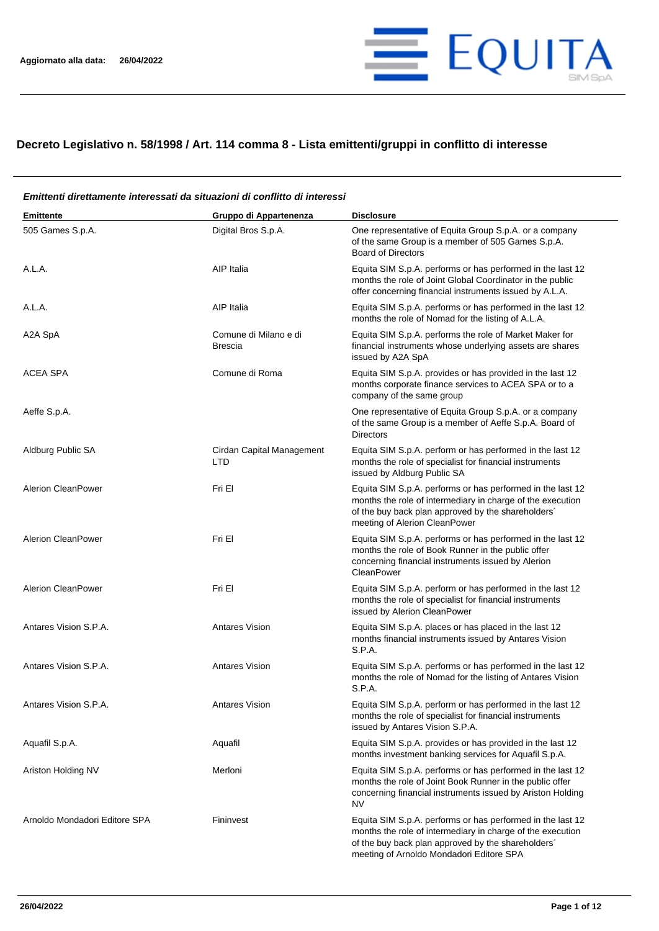

## **Decreto Legislativo n. 58/1998 / Art. 114 comma 8 - Lista emittenti/gruppi in conflitto di interesse**

#### **Emittente Gruppo di Appartenenza Disclosure** 505 Games S.p.A. Digital Bros S.p.A. One representative of Equita Group S.p.A. or a company of the same Group is a member of 505 Games S.p.A. Board of Directors A.L.A. A.L.A. A.L.A. A.L.A. A.L.A. **A.L.A.** A.L.A. performs or has performed in the last 12 months the role of Joint Global Coordinator in the public offer concerning financial instruments issued by A.L.A. A.L.A. A.L.A. A.L.A. AIP Italia AIP Italia Equita SIM S.p.A. performs or has performed in the last 12 months the role of Nomad for the listing of A.L.A. A2A SpA Comune di Milano e di Brescia Equita SIM S.p.A. performs the role of Market Maker for financial instruments whose underlying assets are shares issued by A2A SpA ACEA SPA Comune di Roma Equita SIM S.p.A. provides or has provided in the last 12 months corporate finance services to ACEA SPA or to a company of the same group Aeffe S.p.A. One representative of Equita Group S.p.A. or a company of the same Group is a member of Aeffe S.p.A. Board of Directors Aldburg Public SA Cirdan Capital Management LTD Equita SIM S.p.A. perform or has performed in the last 12 months the role of specialist for financial instruments issued by Aldburg Public SA Alerion CleanPower **Fri El El El El El El El El El El El El El** Equita SIM S.p.A. performs or has performed in the last 12 months the role of intermediary in charge of the execution of the buy back plan approved by the shareholders´ meeting of Alerion CleanPower Alerion CleanPower **Fri El El El El El El El El El El El El El** Equita SIM S.p.A. performs or has performed in the last 12 months the role of Book Runner in the public offer concerning financial instruments issued by Alerion **CleanPower** Alerion CleanPower Fri El Fri El El Equita SIM S.p.A. perform or has performed in the last 12 months the role of specialist for financial instruments issued by Alerion CleanPower Antares Vision S.P.A. **Antares Vision** Antares Vision Equita SIM S.p.A. places or has placed in the last 12 months financial instruments issued by Antares Vision S.P.A. Antares Vision S.P.A. **Antares Vision** Antares Vision Equita SIM S.p.A. performs or has performed in the last 12 months the role of Nomad for the listing of Antares Vision S.P.A. Antares Vision S.P.A. Antares Vision Equita SIM S.p.A. perform or has performed in the last 12 months the role of specialist for financial instruments issued by Antares Vision S.P.A. Aquafil S.p.A. Aquafil Aquafil Equita SIM S.p.A. provides or has provided in the last 12 months investment banking services for Aquafil S.p.A. Ariston Holding NV **Merloni** Merloni **Equita SIM S.p.A. performs or has performed in the last 12** months the role of Joint Book Runner in the public offer concerning financial instruments issued by Ariston Holding NV Arnoldo Mondadori Editore SPA Fininvest Fininvest Equita SIM S.p.A. performs or has performed in the last 12 months the role of intermediary in charge of the execution of the buy back plan approved by the shareholders´ meeting of Arnoldo Mondadori Editore SPA

# *Emittenti direttamente interessati da situazioni di conflitto di interessi*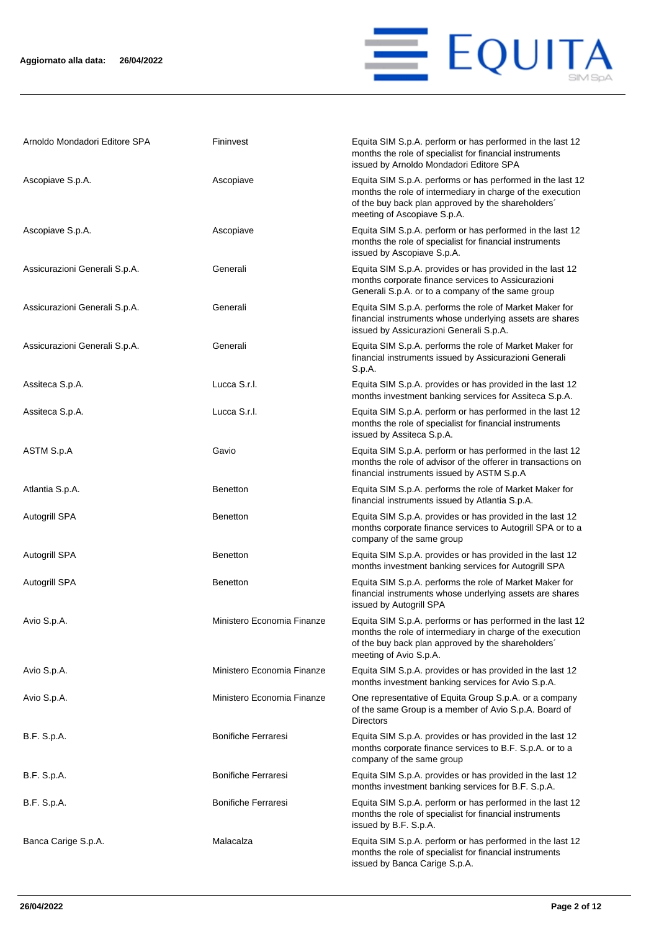

| Arnoldo Mondadori Editore SPA | Fininvest                  | Equita SIM S.p.A. perform or has performed in the last 12<br>months the role of specialist for financial instruments<br>issued by Arnoldo Mondadori Editore SPA                                               |
|-------------------------------|----------------------------|---------------------------------------------------------------------------------------------------------------------------------------------------------------------------------------------------------------|
| Ascopiave S.p.A.              | Ascopiave                  | Equita SIM S.p.A. performs or has performed in the last 12<br>months the role of intermediary in charge of the execution<br>of the buy back plan approved by the shareholders'<br>meeting of Ascopiave S.p.A. |
| Ascopiave S.p.A.              | Ascopiave                  | Equita SIM S.p.A. perform or has performed in the last 12<br>months the role of specialist for financial instruments<br>issued by Ascopiave S.p.A.                                                            |
| Assicurazioni Generali S.p.A. | Generali                   | Equita SIM S.p.A. provides or has provided in the last 12<br>months corporate finance services to Assicurazioni<br>Generali S.p.A. or to a company of the same group                                          |
| Assicurazioni Generali S.p.A. | Generali                   | Equita SIM S.p.A. performs the role of Market Maker for<br>financial instruments whose underlying assets are shares<br>issued by Assicurazioni Generali S.p.A.                                                |
| Assicurazioni Generali S.p.A. | Generali                   | Equita SIM S.p.A. performs the role of Market Maker for<br>financial instruments issued by Assicurazioni Generali<br>S.p.A.                                                                                   |
| Assiteca S.p.A.               | Lucca S.r.l.               | Equita SIM S.p.A. provides or has provided in the last 12<br>months investment banking services for Assiteca S.p.A.                                                                                           |
| Assiteca S.p.A.               | Lucca S.r.l.               | Equita SIM S.p.A. perform or has performed in the last 12<br>months the role of specialist for financial instruments<br>issued by Assiteca S.p.A.                                                             |
| ASTM S.p.A                    | Gavio                      | Equita SIM S.p.A. perform or has performed in the last 12<br>months the role of advisor of the offerer in transactions on<br>financial instruments issued by ASTM S.p.A                                       |
| Atlantia S.p.A.               | <b>Benetton</b>            | Equita SIM S.p.A. performs the role of Market Maker for<br>financial instruments issued by Atlantia S.p.A.                                                                                                    |
| Autogrill SPA                 | <b>Benetton</b>            | Equita SIM S.p.A. provides or has provided in the last 12<br>months corporate finance services to Autogrill SPA or to a<br>company of the same group                                                          |
| Autogrill SPA                 | <b>Benetton</b>            | Equita SIM S.p.A. provides or has provided in the last 12<br>months investment banking services for Autogrill SPA                                                                                             |
| <b>Autogrill SPA</b>          | <b>Benetton</b>            | Equita SIM S.p.A. performs the role of Market Maker for<br>financial instruments whose underlying assets are shares<br>issued by Autogrill SPA                                                                |
| Avio S.p.A.                   | Ministero Economia Finanze | Equita SIM S.p.A. performs or has performed in the last 12<br>months the role of intermediary in charge of the execution<br>of the buy back plan approved by the shareholders'<br>meeting of Avio S.p.A.      |
| Avio S.p.A.                   | Ministero Economia Finanze | Equita SIM S.p.A. provides or has provided in the last 12<br>months investment banking services for Avio S.p.A.                                                                                               |
| Avio S.p.A.                   | Ministero Economia Finanze | One representative of Equita Group S.p.A. or a company<br>of the same Group is a member of Avio S.p.A. Board of<br><b>Directors</b>                                                                           |
| B.F. S.p.A.                   | <b>Bonifiche Ferraresi</b> | Equita SIM S.p.A. provides or has provided in the last 12<br>months corporate finance services to B.F. S.p.A. or to a<br>company of the same group                                                            |
| B.F. S.p.A.                   | <b>Bonifiche Ferraresi</b> | Equita SIM S.p.A. provides or has provided in the last 12<br>months investment banking services for B.F. S.p.A.                                                                                               |
| B.F. S.p.A.                   | <b>Bonifiche Ferraresi</b> | Equita SIM S.p.A. perform or has performed in the last 12<br>months the role of specialist for financial instruments<br>issued by B.F. S.p.A.                                                                 |
| Banca Carige S.p.A.           | Malacalza                  | Equita SIM S.p.A. perform or has performed in the last 12<br>months the role of specialist for financial instruments<br>issued by Banca Carige S.p.A.                                                         |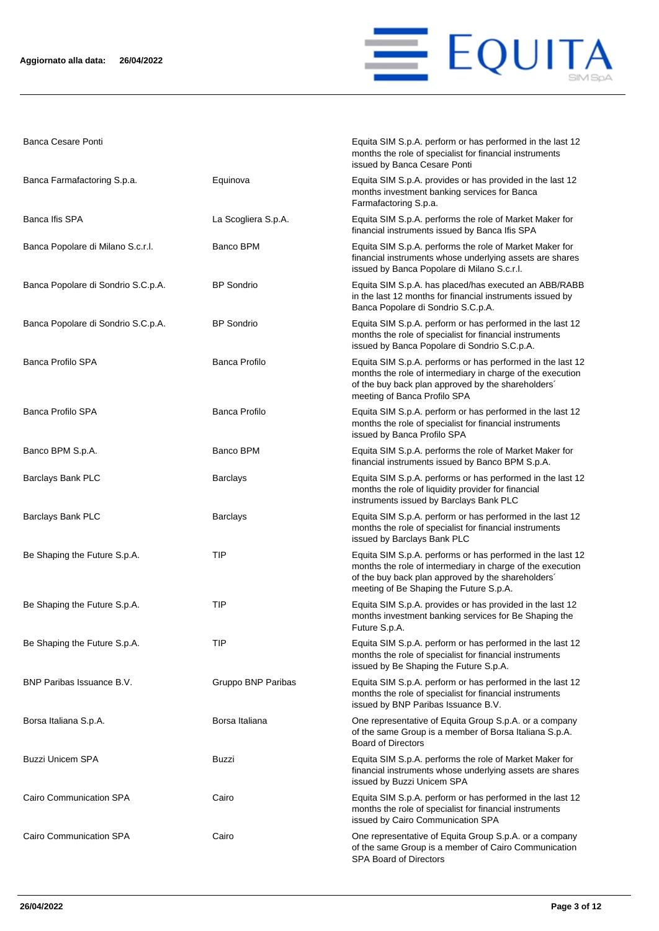

Banca Cesare Ponti **Equita SIM S.p.A. perform or has performed in the last 12** 

|                                    |                      | months the role of specialist for financial instruments<br>issued by Banca Cesare Ponti                                                                                                                                   |
|------------------------------------|----------------------|---------------------------------------------------------------------------------------------------------------------------------------------------------------------------------------------------------------------------|
| Banca Farmafactoring S.p.a.        | Equinova             | Equita SIM S.p.A. provides or has provided in the last 12<br>months investment banking services for Banca<br>Farmafactoring S.p.a.                                                                                        |
| Banca Ifis SPA                     | La Scogliera S.p.A.  | Equita SIM S.p.A. performs the role of Market Maker for<br>financial instruments issued by Banca Ifis SPA                                                                                                                 |
| Banca Popolare di Milano S.c.r.l.  | Banco BPM            | Equita SIM S.p.A. performs the role of Market Maker for<br>financial instruments whose underlying assets are shares<br>issued by Banca Popolare di Milano S.c.r.l.                                                        |
| Banca Popolare di Sondrio S.C.p.A. | <b>BP</b> Sondrio    | Equita SIM S.p.A. has placed/has executed an ABB/RABB<br>in the last 12 months for financial instruments issued by<br>Banca Popolare di Sondrio S.C.p.A.                                                                  |
| Banca Popolare di Sondrio S.C.p.A. | <b>BP</b> Sondrio    | Equita SIM S.p.A. perform or has performed in the last 12<br>months the role of specialist for financial instruments<br>issued by Banca Popolare di Sondrio S.C.p.A.                                                      |
| <b>Banca Profilo SPA</b>           | <b>Banca Profilo</b> | Equita SIM S.p.A. performs or has performed in the last 12<br>months the role of intermediary in charge of the execution<br>of the buy back plan approved by the shareholders'<br>meeting of Banca Profilo SPA            |
| <b>Banca Profilo SPA</b>           | Banca Profilo        | Equita SIM S.p.A. perform or has performed in the last 12<br>months the role of specialist for financial instruments<br>issued by Banca Profilo SPA                                                                       |
| Banco BPM S.p.A.                   | Banco BPM            | Equita SIM S.p.A. performs the role of Market Maker for<br>financial instruments issued by Banco BPM S.p.A.                                                                                                               |
| Barclays Bank PLC                  | <b>Barclays</b>      | Equita SIM S.p.A. performs or has performed in the last 12<br>months the role of liquidity provider for financial<br>instruments issued by Barclays Bank PLC                                                              |
| Barclays Bank PLC                  | <b>Barclays</b>      | Equita SIM S.p.A. perform or has performed in the last 12<br>months the role of specialist for financial instruments<br>issued by Barclays Bank PLC                                                                       |
| Be Shaping the Future S.p.A.       | TIP                  | Equita SIM S.p.A. performs or has performed in the last 12<br>months the role of intermediary in charge of the execution<br>of the buy back plan approved by the shareholders'<br>meeting of Be Shaping the Future S.p.A. |
| Be Shaping the Future S.p.A.       | TIP                  | Equita SIM S.p.A. provides or has provided in the last 12<br>months investment banking services for Be Shaping the<br>Future S.p.A.                                                                                       |
| Be Shaping the Future S.p.A.       | <b>TIP</b>           | Equita SIM S.p.A. perform or has performed in the last 12<br>months the role of specialist for financial instruments<br>issued by Be Shaping the Future S.p.A.                                                            |
| BNP Paribas Issuance B.V.          | Gruppo BNP Paribas   | Equita SIM S.p.A. perform or has performed in the last 12<br>months the role of specialist for financial instruments<br>issued by BNP Paribas Issuance B.V.                                                               |
| Borsa Italiana S.p.A.              | Borsa Italiana       | One representative of Equita Group S.p.A. or a company<br>of the same Group is a member of Borsa Italiana S.p.A.<br><b>Board of Directors</b>                                                                             |
| <b>Buzzi Unicem SPA</b>            | Buzzi                | Equita SIM S.p.A. performs the role of Market Maker for<br>financial instruments whose underlying assets are shares<br>issued by Buzzi Unicem SPA                                                                         |
| Cairo Communication SPA            | Cairo                | Equita SIM S.p.A. perform or has performed in the last 12<br>months the role of specialist for financial instruments<br>issued by Cairo Communication SPA                                                                 |
| Cairo Communication SPA            | Cairo                | One representative of Equita Group S.p.A. or a company<br>of the same Group is a member of Cairo Communication<br><b>SPA Board of Directors</b>                                                                           |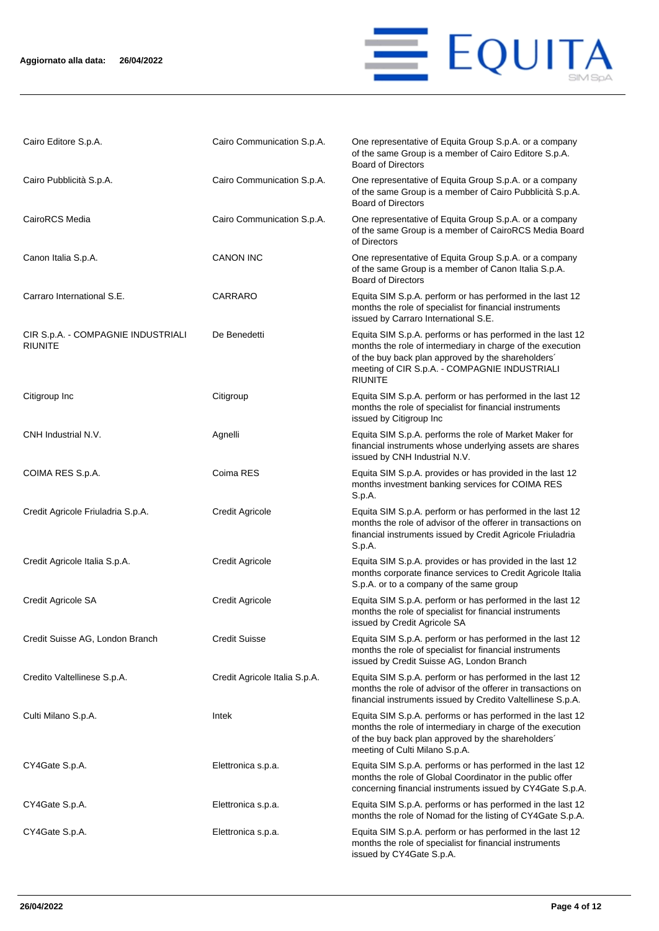### **Aggiornato alla data: 26/04/2022**



| Cairo Editore S.p.A.                                 | Cairo Communication S.p.A.    | One representative of Equita Group S.p.A. or a company<br>of the same Group is a member of Cairo Editore S.p.A.<br><b>Board of Directors</b>                                                                                                      |
|------------------------------------------------------|-------------------------------|---------------------------------------------------------------------------------------------------------------------------------------------------------------------------------------------------------------------------------------------------|
| Cairo Pubblicità S.p.A.                              | Cairo Communication S.p.A.    | One representative of Equita Group S.p.A. or a company<br>of the same Group is a member of Cairo Pubblicità S.p.A.<br><b>Board of Directors</b>                                                                                                   |
| CairoRCS Media                                       | Cairo Communication S.p.A.    | One representative of Equita Group S.p.A. or a company<br>of the same Group is a member of CairoRCS Media Board<br>of Directors                                                                                                                   |
| Canon Italia S.p.A.                                  | <b>CANON INC</b>              | One representative of Equita Group S.p.A. or a company<br>of the same Group is a member of Canon Italia S.p.A.<br><b>Board of Directors</b>                                                                                                       |
| Carraro International S.E.                           | CARRARO                       | Equita SIM S.p.A. perform or has performed in the last 12<br>months the role of specialist for financial instruments<br>issued by Carraro International S.E.                                                                                      |
| CIR S.p.A. - COMPAGNIE INDUSTRIALI<br><b>RIUNITE</b> | De Benedetti                  | Equita SIM S.p.A. performs or has performed in the last 12<br>months the role of intermediary in charge of the execution<br>of the buy back plan approved by the shareholders'<br>meeting of CIR S.p.A. - COMPAGNIE INDUSTRIALI<br><b>RIUNITE</b> |
| Citigroup Inc                                        | Citigroup                     | Equita SIM S.p.A. perform or has performed in the last 12<br>months the role of specialist for financial instruments<br>issued by Citigroup Inc                                                                                                   |
| CNH Industrial N.V.                                  | Agnelli                       | Equita SIM S.p.A. performs the role of Market Maker for<br>financial instruments whose underlying assets are shares<br>issued by CNH Industrial N.V.                                                                                              |
| COIMA RES S.p.A.                                     | Coima RES                     | Equita SIM S.p.A. provides or has provided in the last 12<br>months investment banking services for COIMA RES<br>S.p.A.                                                                                                                           |
| Credit Agricole Friuladria S.p.A.                    | <b>Credit Agricole</b>        | Equita SIM S.p.A. perform or has performed in the last 12<br>months the role of advisor of the offerer in transactions on<br>financial instruments issued by Credit Agricole Friuladria<br>S.p.A.                                                 |
| Credit Agricole Italia S.p.A.                        | <b>Credit Agricole</b>        | Equita SIM S.p.A. provides or has provided in the last 12<br>months corporate finance services to Credit Agricole Italia<br>S.p.A. or to a company of the same group                                                                              |
| Credit Agricole SA                                   | <b>Credit Agricole</b>        | Equita SIM S.p.A. perform or has performed in the last 12<br>months the role of specialist for financial instruments<br>issued by Credit Agricole SA                                                                                              |
| Credit Suisse AG, London Branch                      | <b>Credit Suisse</b>          | Equita SIM S.p.A. perform or has performed in the last 12<br>months the role of specialist for financial instruments<br>issued by Credit Suisse AG, London Branch                                                                                 |
| Credito Valtellinese S.p.A.                          | Credit Agricole Italia S.p.A. | Equita SIM S.p.A. perform or has performed in the last 12<br>months the role of advisor of the offerer in transactions on<br>financial instruments issued by Credito Valtellinese S.p.A.                                                          |
| Culti Milano S.p.A.                                  | Intek                         | Equita SIM S.p.A. performs or has performed in the last 12<br>months the role of intermediary in charge of the execution<br>of the buy back plan approved by the shareholders'<br>meeting of Culti Milano S.p.A.                                  |
| CY4Gate S.p.A.                                       | Elettronica s.p.a.            | Equita SIM S.p.A. performs or has performed in the last 12<br>months the role of Global Coordinator in the public offer<br>concerning financial instruments issued by CY4Gate S.p.A.                                                              |
| CY4Gate S.p.A.                                       | Elettronica s.p.a.            | Equita SIM S.p.A. performs or has performed in the last 12<br>months the role of Nomad for the listing of CY4Gate S.p.A.                                                                                                                          |
| CY4Gate S.p.A.                                       | Elettronica s.p.a.            | Equita SIM S.p.A. perform or has performed in the last 12<br>months the role of specialist for financial instruments<br>issued by CY4Gate S.p.A.                                                                                                  |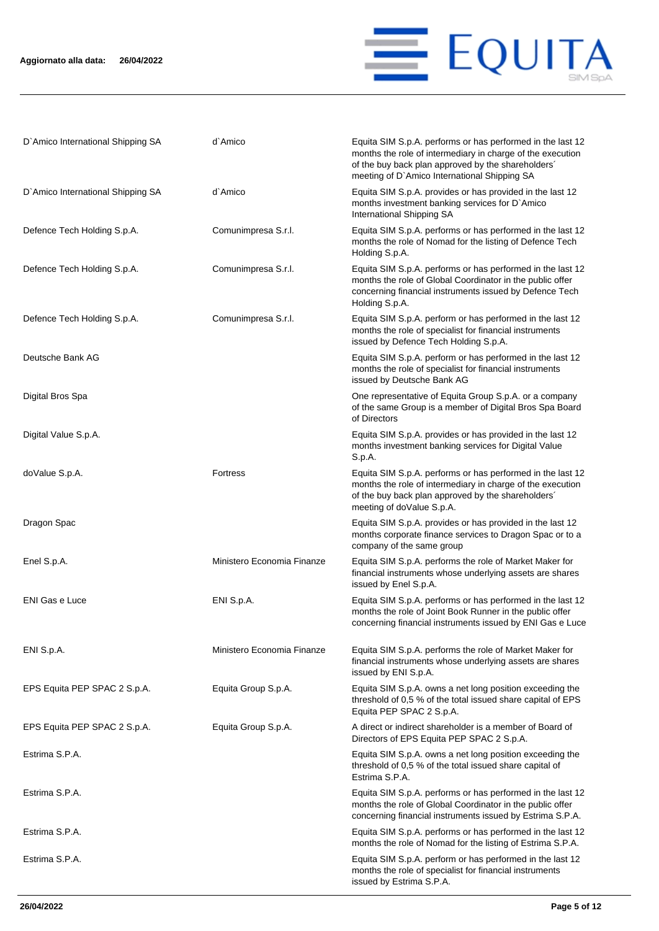

| D'Amico International Shipping SA | d`Amico                    | Equita SIM S.p.A. performs or has performed in the last 12<br>months the role of intermediary in charge of the execution<br>of the buy back plan approved by the shareholders'<br>meeting of D'Amico International Shipping SA |
|-----------------------------------|----------------------------|--------------------------------------------------------------------------------------------------------------------------------------------------------------------------------------------------------------------------------|
| D'Amico International Shipping SA | d`Amico                    | Equita SIM S.p.A. provides or has provided in the last 12<br>months investment banking services for D'Amico<br>International Shipping SA                                                                                       |
| Defence Tech Holding S.p.A.       | Comunimpresa S.r.l.        | Equita SIM S.p.A. performs or has performed in the last 12<br>months the role of Nomad for the listing of Defence Tech<br>Holding S.p.A.                                                                                       |
| Defence Tech Holding S.p.A.       | Comunimpresa S.r.l.        | Equita SIM S.p.A. performs or has performed in the last 12<br>months the role of Global Coordinator in the public offer<br>concerning financial instruments issued by Defence Tech<br>Holding S.p.A.                           |
| Defence Tech Holding S.p.A.       | Comunimpresa S.r.l.        | Equita SIM S.p.A. perform or has performed in the last 12<br>months the role of specialist for financial instruments<br>issued by Defence Tech Holding S.p.A.                                                                  |
| Deutsche Bank AG                  |                            | Equita SIM S.p.A. perform or has performed in the last 12<br>months the role of specialist for financial instruments<br>issued by Deutsche Bank AG                                                                             |
| Digital Bros Spa                  |                            | One representative of Equita Group S.p.A. or a company<br>of the same Group is a member of Digital Bros Spa Board<br>of Directors                                                                                              |
| Digital Value S.p.A.              |                            | Equita SIM S.p.A. provides or has provided in the last 12<br>months investment banking services for Digital Value<br>S.p.A.                                                                                                    |
| doValue S.p.A.                    | <b>Fortress</b>            | Equita SIM S.p.A. performs or has performed in the last 12<br>months the role of intermediary in charge of the execution<br>of the buy back plan approved by the shareholders'<br>meeting of doValue S.p.A.                    |
| Dragon Spac                       |                            | Equita SIM S.p.A. provides or has provided in the last 12<br>months corporate finance services to Dragon Spac or to a<br>company of the same group                                                                             |
| Enel S.p.A.                       | Ministero Economia Finanze | Equita SIM S.p.A. performs the role of Market Maker for<br>financial instruments whose underlying assets are shares<br>issued by Enel S.p.A.                                                                                   |
| <b>ENI Gas e Luce</b>             | ENI S.p.A.                 | Equita SIM S.p.A. performs or has performed in the last 12<br>months the role of Joint Book Runner in the public offer<br>concerning financial instruments issued by ENI Gas e Luce                                            |
| ENI S.p.A.                        | Ministero Economia Finanze | Equita SIM S.p.A. performs the role of Market Maker for<br>financial instruments whose underlying assets are shares<br>issued by ENI S.p.A.                                                                                    |
| EPS Equita PEP SPAC 2 S.p.A.      | Equita Group S.p.A.        | Equita SIM S.p.A. owns a net long position exceeding the<br>threshold of 0,5 % of the total issued share capital of EPS<br>Equita PEP SPAC 2 S.p.A.                                                                            |
| EPS Equita PEP SPAC 2 S.p.A.      | Equita Group S.p.A.        | A direct or indirect shareholder is a member of Board of<br>Directors of EPS Equita PEP SPAC 2 S.p.A.                                                                                                                          |
| Estrima S.P.A.                    |                            | Equita SIM S.p.A. owns a net long position exceeding the<br>threshold of 0,5 % of the total issued share capital of<br>Estrima S.P.A.                                                                                          |
| Estrima S.P.A.                    |                            | Equita SIM S.p.A. performs or has performed in the last 12<br>months the role of Global Coordinator in the public offer<br>concerning financial instruments issued by Estrima S.P.A.                                           |
| Estrima S.P.A.                    |                            | Equita SIM S.p.A. performs or has performed in the last 12<br>months the role of Nomad for the listing of Estrima S.P.A.                                                                                                       |
| Estrima S.P.A.                    |                            | Equita SIM S.p.A. perform or has performed in the last 12<br>months the role of specialist for financial instruments<br>issued by Estrima S.P.A.                                                                               |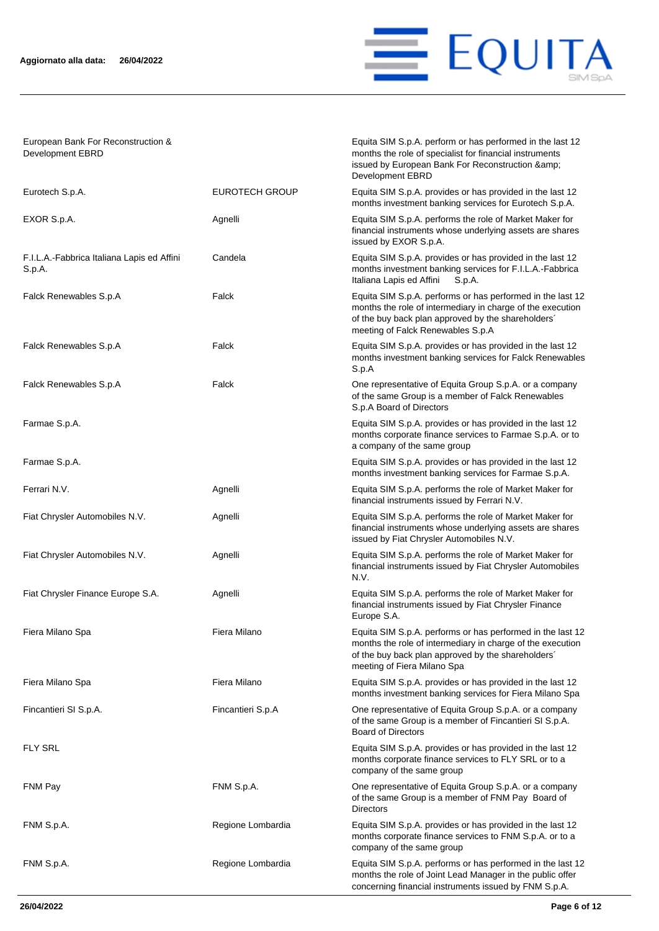

Equita SIM S.p.A. perform or has performed in the last 12 months the role of specialist for financial instruments issued by European Bank For Reconstruction &

European Bank For Reconstruction & Development EBRD

|                                                      |                       | Development EBRD                                                                                                                                                                                                    |
|------------------------------------------------------|-----------------------|---------------------------------------------------------------------------------------------------------------------------------------------------------------------------------------------------------------------|
| Eurotech S.p.A.                                      | <b>EUROTECH GROUP</b> | Equita SIM S.p.A. provides or has provided in the last 12<br>months investment banking services for Eurotech S.p.A.                                                                                                 |
| EXOR S.p.A.                                          | Agnelli               | Equita SIM S.p.A. performs the role of Market Maker for<br>financial instruments whose underlying assets are shares<br>issued by EXOR S.p.A.                                                                        |
| F.I.L.A.-Fabbrica Italiana Lapis ed Affini<br>S.p.A. | Candela               | Equita SIM S.p.A. provides or has provided in the last 12<br>months investment banking services for F.I.L.A.-Fabbrica<br>Italiana Lapis ed Affini<br>S.p.A.                                                         |
| Falck Renewables S.p.A                               | Falck                 | Equita SIM S.p.A. performs or has performed in the last 12<br>months the role of intermediary in charge of the execution<br>of the buy back plan approved by the shareholders'<br>meeting of Falck Renewables S.p.A |
| Falck Renewables S.p.A                               | Falck                 | Equita SIM S.p.A. provides or has provided in the last 12<br>months investment banking services for Falck Renewables<br>S.p.A                                                                                       |
| Falck Renewables S.p.A                               | Falck                 | One representative of Equita Group S.p.A. or a company<br>of the same Group is a member of Falck Renewables<br>S.p.A Board of Directors                                                                             |
| Farmae S.p.A.                                        |                       | Equita SIM S.p.A. provides or has provided in the last 12<br>months corporate finance services to Farmae S.p.A. or to<br>a company of the same group                                                                |
| Farmae S.p.A.                                        |                       | Equita SIM S.p.A. provides or has provided in the last 12<br>months investment banking services for Farmae S.p.A.                                                                                                   |
| Ferrari N.V.                                         | Agnelli               | Equita SIM S.p.A. performs the role of Market Maker for<br>financial instruments issued by Ferrari N.V.                                                                                                             |
| Fiat Chrysler Automobiles N.V.                       | Agnelli               | Equita SIM S.p.A. performs the role of Market Maker for<br>financial instruments whose underlying assets are shares<br>issued by Fiat Chrysler Automobiles N.V.                                                     |
| Fiat Chrysler Automobiles N.V.                       | Agnelli               | Equita SIM S.p.A. performs the role of Market Maker for<br>financial instruments issued by Fiat Chrysler Automobiles<br>N.V.                                                                                        |
| Fiat Chrysler Finance Europe S.A.                    | Agnelli               | Equita SIM S.p.A. performs the role of Market Maker for<br>financial instruments issued by Fiat Chrysler Finance<br>Europe S.A.                                                                                     |
| Fiera Milano Spa                                     | Fiera Milano          | Equita SIM S.p.A. performs or has performed in the last 12<br>months the role of intermediary in charge of the execution<br>of the buy back plan approved by the shareholders'<br>meeting of Fiera Milano Spa       |
| Fiera Milano Spa                                     | Fiera Milano          | Equita SIM S.p.A. provides or has provided in the last 12<br>months investment banking services for Fiera Milano Spa                                                                                                |
| Fincantieri SI S.p.A.                                | Fincantieri S.p.A     | One representative of Equita Group S.p.A. or a company<br>of the same Group is a member of Fincantieri SI S.p.A.<br><b>Board of Directors</b>                                                                       |
| <b>FLY SRL</b>                                       |                       | Equita SIM S.p.A. provides or has provided in the last 12<br>months corporate finance services to FLY SRL or to a<br>company of the same group                                                                      |
| FNM Pay                                              | FNM S.p.A.            | One representative of Equita Group S.p.A. or a company<br>of the same Group is a member of FNM Pay Board of<br><b>Directors</b>                                                                                     |
| FNM S.p.A.                                           | Regione Lombardia     | Equita SIM S.p.A. provides or has provided in the last 12<br>months corporate finance services to FNM S.p.A. or to a<br>company of the same group                                                                   |
| FNM S.p.A.                                           | Regione Lombardia     | Equita SIM S.p.A. performs or has performed in the last 12<br>months the role of Joint Lead Manager in the public offer<br>concerning financial instruments issued by FNM S.p.A.                                    |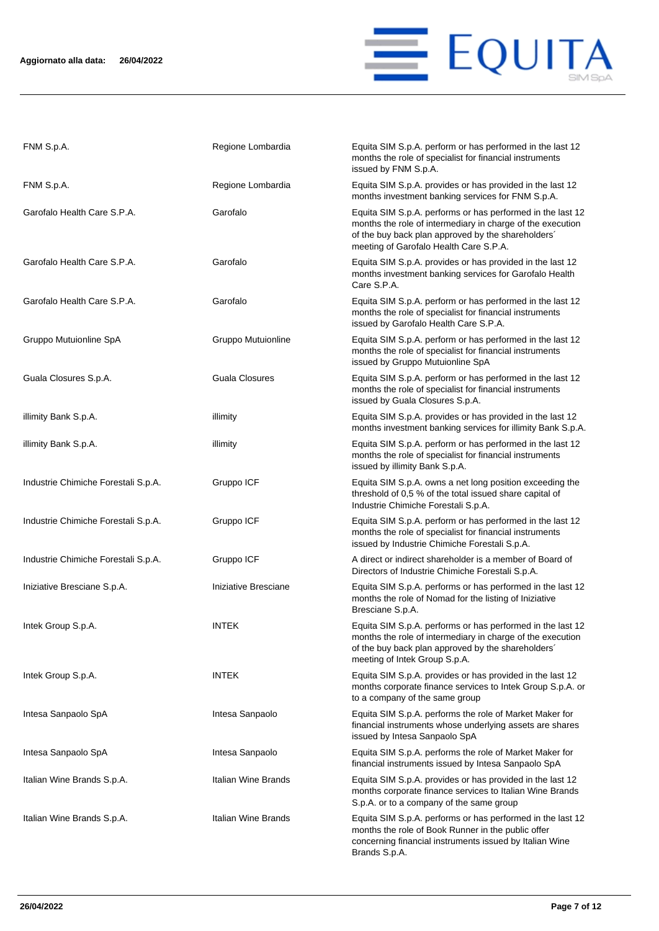

| FNM S.p.A.                          | Regione Lombardia    | Equita SIM S.p.A. perform or has performed in the last 12<br>months the role of specialist for financial instruments<br>issued by FNM S.p.A.                                                                             |
|-------------------------------------|----------------------|--------------------------------------------------------------------------------------------------------------------------------------------------------------------------------------------------------------------------|
| FNM S.p.A.                          | Regione Lombardia    | Equita SIM S.p.A. provides or has provided in the last 12<br>months investment banking services for FNM S.p.A.                                                                                                           |
| Garofalo Health Care S.P.A.         | Garofalo             | Equita SIM S.p.A. performs or has performed in the last 12<br>months the role of intermediary in charge of the execution<br>of the buy back plan approved by the shareholders'<br>meeting of Garofalo Health Care S.P.A. |
| Garofalo Health Care S.P.A.         | Garofalo             | Equita SIM S.p.A. provides or has provided in the last 12<br>months investment banking services for Garofalo Health<br>Care S.P.A.                                                                                       |
| Garofalo Health Care S.P.A.         | Garofalo             | Equita SIM S.p.A. perform or has performed in the last 12<br>months the role of specialist for financial instruments<br>issued by Garofalo Health Care S.P.A.                                                            |
| Gruppo Mutuionline SpA              | Gruppo Mutuionline   | Equita SIM S.p.A. perform or has performed in the last 12<br>months the role of specialist for financial instruments<br>issued by Gruppo Mutuionline SpA                                                                 |
| Guala Closures S.p.A.               | Guala Closures       | Equita SIM S.p.A. perform or has performed in the last 12<br>months the role of specialist for financial instruments<br>issued by Guala Closures S.p.A.                                                                  |
| illimity Bank S.p.A.                | illimity             | Equita SIM S.p.A. provides or has provided in the last 12<br>months investment banking services for illimity Bank S.p.A.                                                                                                 |
| illimity Bank S.p.A.                | illimity             | Equita SIM S.p.A. perform or has performed in the last 12<br>months the role of specialist for financial instruments<br>issued by illimity Bank S.p.A.                                                                   |
| Industrie Chimiche Forestali S.p.A. | Gruppo ICF           | Equita SIM S.p.A. owns a net long position exceeding the<br>threshold of 0,5 % of the total issued share capital of<br>Industrie Chimiche Forestali S.p.A.                                                               |
| Industrie Chimiche Forestali S.p.A. | Gruppo ICF           | Equita SIM S.p.A. perform or has performed in the last 12<br>months the role of specialist for financial instruments<br>issued by Industrie Chimiche Forestali S.p.A.                                                    |
| Industrie Chimiche Forestali S.p.A. | Gruppo ICF           | A direct or indirect shareholder is a member of Board of<br>Directors of Industrie Chimiche Forestali S.p.A.                                                                                                             |
| Iniziative Bresciane S.p.A.         | Iniziative Bresciane | Equita SIM S.p.A. performs or has performed in the last 12<br>months the role of Nomad for the listing of Iniziative<br>Bresciane S.p.A.                                                                                 |
| Intek Group S.p.A.                  | INTEK                | Equita SIM S.p.A. performs or has performed in the last 12<br>months the role of intermediary in charge of the execution<br>of the buy back plan approved by the shareholders'<br>meeting of Intek Group S.p.A.          |
| Intek Group S.p.A.                  | INTEK                | Equita SIM S.p.A. provides or has provided in the last 12<br>months corporate finance services to Intek Group S.p.A. or<br>to a company of the same group                                                                |
| Intesa Sanpaolo SpA                 | Intesa Sanpaolo      | Equita SIM S.p.A. performs the role of Market Maker for<br>financial instruments whose underlying assets are shares<br>issued by Intesa Sanpaolo SpA                                                                     |
| Intesa Sanpaolo SpA                 | Intesa Sanpaolo      | Equita SIM S.p.A. performs the role of Market Maker for<br>financial instruments issued by Intesa Sanpaolo SpA                                                                                                           |
| Italian Wine Brands S.p.A.          | Italian Wine Brands  | Equita SIM S.p.A. provides or has provided in the last 12<br>months corporate finance services to Italian Wine Brands<br>S.p.A. or to a company of the same group                                                        |
| Italian Wine Brands S.p.A.          | Italian Wine Brands  | Equita SIM S.p.A. performs or has performed in the last 12<br>months the role of Book Runner in the public offer<br>concerning financial instruments issued by Italian Wine<br>Brands S.p.A.                             |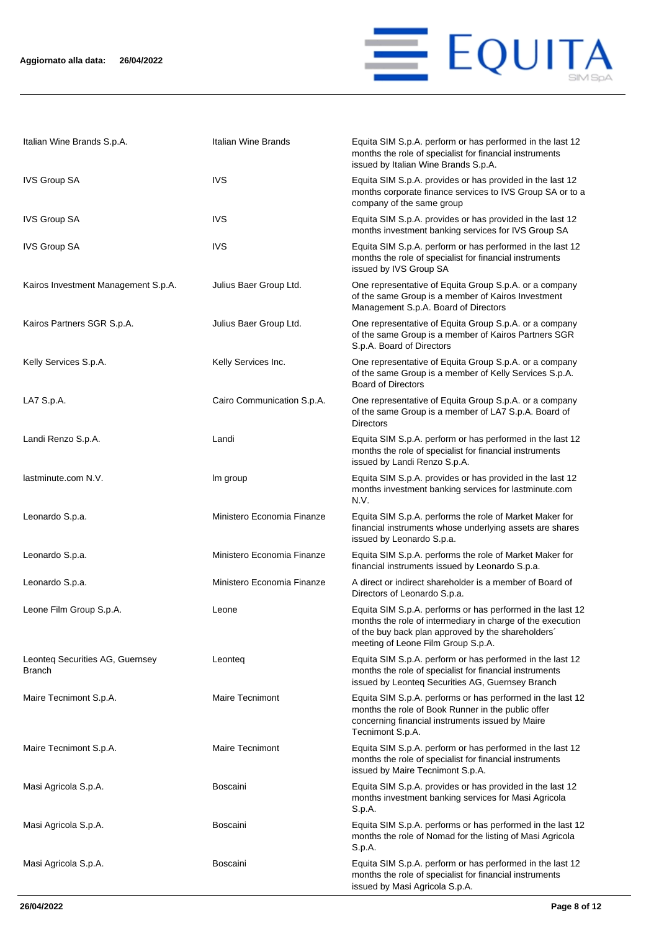

| Italian Wine Brands S.p.A.                       | Italian Wine Brands        | Equita SIM S.p.A. perform or has performed in the last 12<br>months the role of specialist for financial instruments<br>issued by Italian Wine Brands S.p.A.                                                         |
|--------------------------------------------------|----------------------------|----------------------------------------------------------------------------------------------------------------------------------------------------------------------------------------------------------------------|
| <b>IVS Group SA</b>                              | <b>IVS</b>                 | Equita SIM S.p.A. provides or has provided in the last 12<br>months corporate finance services to IVS Group SA or to a<br>company of the same group                                                                  |
| <b>IVS Group SA</b>                              | <b>IVS</b>                 | Equita SIM S.p.A. provides or has provided in the last 12<br>months investment banking services for IVS Group SA                                                                                                     |
| <b>IVS Group SA</b>                              | <b>IVS</b>                 | Equita SIM S.p.A. perform or has performed in the last 12<br>months the role of specialist for financial instruments<br>issued by IVS Group SA                                                                       |
| Kairos Investment Management S.p.A.              | Julius Baer Group Ltd.     | One representative of Equita Group S.p.A. or a company<br>of the same Group is a member of Kairos Investment<br>Management S.p.A. Board of Directors                                                                 |
| Kairos Partners SGR S.p.A.                       | Julius Baer Group Ltd.     | One representative of Equita Group S.p.A. or a company<br>of the same Group is a member of Kairos Partners SGR<br>S.p.A. Board of Directors                                                                          |
| Kelly Services S.p.A.                            | Kelly Services Inc.        | One representative of Equita Group S.p.A. or a company<br>of the same Group is a member of Kelly Services S.p.A.<br><b>Board of Directors</b>                                                                        |
| LA7 S.p.A.                                       | Cairo Communication S.p.A. | One representative of Equita Group S.p.A. or a company<br>of the same Group is a member of LA7 S.p.A. Board of<br><b>Directors</b>                                                                                   |
| Landi Renzo S.p.A.                               | Landi                      | Equita SIM S.p.A. perform or has performed in the last 12<br>months the role of specialist for financial instruments<br>issued by Landi Renzo S.p.A.                                                                 |
| lastminute.com N.V.                              | Im group                   | Equita SIM S.p.A. provides or has provided in the last 12<br>months investment banking services for lastminute.com<br>N.V.                                                                                           |
| Leonardo S.p.a.                                  | Ministero Economia Finanze | Equita SIM S.p.A. performs the role of Market Maker for<br>financial instruments whose underlying assets are shares<br>issued by Leonardo S.p.a.                                                                     |
| Leonardo S.p.a.                                  | Ministero Economia Finanze | Equita SIM S.p.A. performs the role of Market Maker for<br>financial instruments issued by Leonardo S.p.a.                                                                                                           |
| Leonardo S.p.a.                                  | Ministero Economia Finanze | A direct or indirect shareholder is a member of Board of<br>Directors of Leonardo S.p.a.                                                                                                                             |
| Leone Film Group S.p.A.                          | Leone                      | Equita SIM S.p.A. performs or has performed in the last 12<br>months the role of intermediary in charge of the execution<br>of the buy back plan approved by the shareholders'<br>meeting of Leone Film Group S.p.A. |
| Leonteg Securities AG, Guernsey<br><b>Branch</b> | Leonteg                    | Equita SIM S.p.A. perform or has performed in the last 12<br>months the role of specialist for financial instruments<br>issued by Leonteq Securities AG, Guernsey Branch                                             |
| Maire Tecnimont S.p.A.                           | <b>Maire Tecnimont</b>     | Equita SIM S.p.A. performs or has performed in the last 12<br>months the role of Book Runner in the public offer<br>concerning financial instruments issued by Maire<br>Tecnimont S.p.A.                             |
| Maire Tecnimont S.p.A.                           | <b>Maire Tecnimont</b>     | Equita SIM S.p.A. perform or has performed in the last 12<br>months the role of specialist for financial instruments<br>issued by Maire Tecnimont S.p.A.                                                             |
| Masi Agricola S.p.A.                             | <b>Boscaini</b>            | Equita SIM S.p.A. provides or has provided in the last 12<br>months investment banking services for Masi Agricola<br>S.p.A.                                                                                          |
| Masi Agricola S.p.A.                             | <b>Boscaini</b>            | Equita SIM S.p.A. performs or has performed in the last 12<br>months the role of Nomad for the listing of Masi Agricola<br>S.p.A.                                                                                    |
| Masi Agricola S.p.A.                             | Boscaini                   | Equita SIM S.p.A. perform or has performed in the last 12<br>months the role of specialist for financial instruments<br>issued by Masi Agricola S.p.A.                                                               |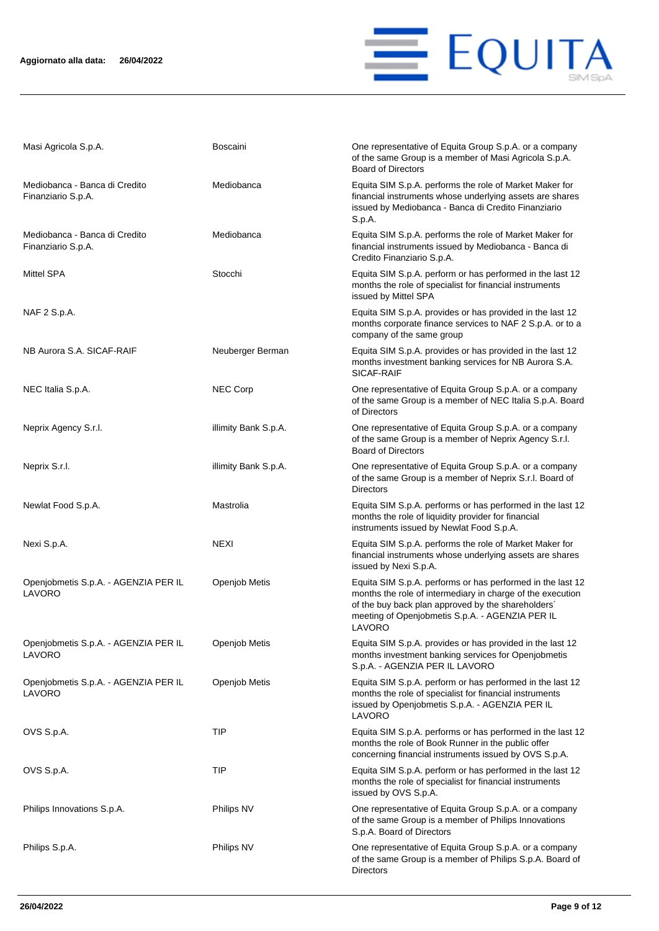

| Masi Agricola S.p.A.                                | <b>Boscaini</b>      | One representative of Equita Group S.p.A. or a company<br>of the same Group is a member of Masi Agricola S.p.A.<br><b>Board of Directors</b>                                                                                                |
|-----------------------------------------------------|----------------------|---------------------------------------------------------------------------------------------------------------------------------------------------------------------------------------------------------------------------------------------|
| Mediobanca - Banca di Credito<br>Finanziario S.p.A. | Mediobanca           | Equita SIM S.p.A. performs the role of Market Maker for<br>financial instruments whose underlying assets are shares<br>issued by Mediobanca - Banca di Credito Finanziario<br>S.p.A.                                                        |
| Mediobanca - Banca di Credito<br>Finanziario S.p.A. | Mediobanca           | Equita SIM S.p.A. performs the role of Market Maker for<br>financial instruments issued by Mediobanca - Banca di<br>Credito Finanziario S.p.A.                                                                                              |
| Mittel SPA                                          | Stocchi              | Equita SIM S.p.A. perform or has performed in the last 12<br>months the role of specialist for financial instruments<br>issued by Mittel SPA                                                                                                |
| NAF 2 S.p.A.                                        |                      | Equita SIM S.p.A. provides or has provided in the last 12<br>months corporate finance services to NAF 2 S.p.A. or to a<br>company of the same group                                                                                         |
| NB Aurora S.A. SICAF-RAIF                           | Neuberger Berman     | Equita SIM S.p.A. provides or has provided in the last 12<br>months investment banking services for NB Aurora S.A.<br>SICAF-RAIF                                                                                                            |
| NEC Italia S.p.A.                                   | <b>NEC Corp</b>      | One representative of Equita Group S.p.A. or a company<br>of the same Group is a member of NEC Italia S.p.A. Board<br>of Directors                                                                                                          |
| Neprix Agency S.r.l.                                | illimity Bank S.p.A. | One representative of Equita Group S.p.A. or a company<br>of the same Group is a member of Neprix Agency S.r.l.<br><b>Board of Directors</b>                                                                                                |
| Neprix S.r.l.                                       | illimity Bank S.p.A. | One representative of Equita Group S.p.A. or a company<br>of the same Group is a member of Neprix S.r.l. Board of<br><b>Directors</b>                                                                                                       |
| Newlat Food S.p.A.                                  | Mastrolia            | Equita SIM S.p.A. performs or has performed in the last 12<br>months the role of liquidity provider for financial<br>instruments issued by Newlat Food S.p.A.                                                                               |
| Nexi S.p.A.                                         | <b>NEXI</b>          | Equita SIM S.p.A. performs the role of Market Maker for<br>financial instruments whose underlying assets are shares<br>issued by Nexi S.p.A.                                                                                                |
| Openjobmetis S.p.A. - AGENZIA PER IL<br>LAVORO      | Openjob Metis        | Equita SIM S.p.A. performs or has performed in the last 12<br>months the role of intermediary in charge of the execution<br>of the buy back plan approved by the shareholders'<br>meeting of Openjobmetis S.p.A. - AGENZIA PER IL<br>LAVORO |
| Openjobmetis S.p.A. - AGENZIA PER IL<br>LAVORO      | Openjob Metis        | Equita SIM S.p.A. provides or has provided in the last 12<br>months investment banking services for Openjobmetis<br>S.p.A. - AGENZIA PER IL LAVORO                                                                                          |
| Openjobmetis S.p.A. - AGENZIA PER IL<br>LAVORO      | Openjob Metis        | Equita SIM S.p.A. perform or has performed in the last 12<br>months the role of specialist for financial instruments<br>issued by Openjobmetis S.p.A. - AGENZIA PER IL<br>LAVORO                                                            |
| OVS S.p.A.                                          | TIP                  | Equita SIM S.p.A. performs or has performed in the last 12<br>months the role of Book Runner in the public offer<br>concerning financial instruments issued by OVS S.p.A.                                                                   |
| OVS S.p.A.                                          | TIP                  | Equita SIM S.p.A. perform or has performed in the last 12<br>months the role of specialist for financial instruments<br>issued by OVS S.p.A.                                                                                                |
| Philips Innovations S.p.A.                          | Philips NV           | One representative of Equita Group S.p.A. or a company<br>of the same Group is a member of Philips Innovations<br>S.p.A. Board of Directors                                                                                                 |
| Philips S.p.A.                                      | Philips NV           | One representative of Equita Group S.p.A. or a company<br>of the same Group is a member of Philips S.p.A. Board of<br><b>Directors</b>                                                                                                      |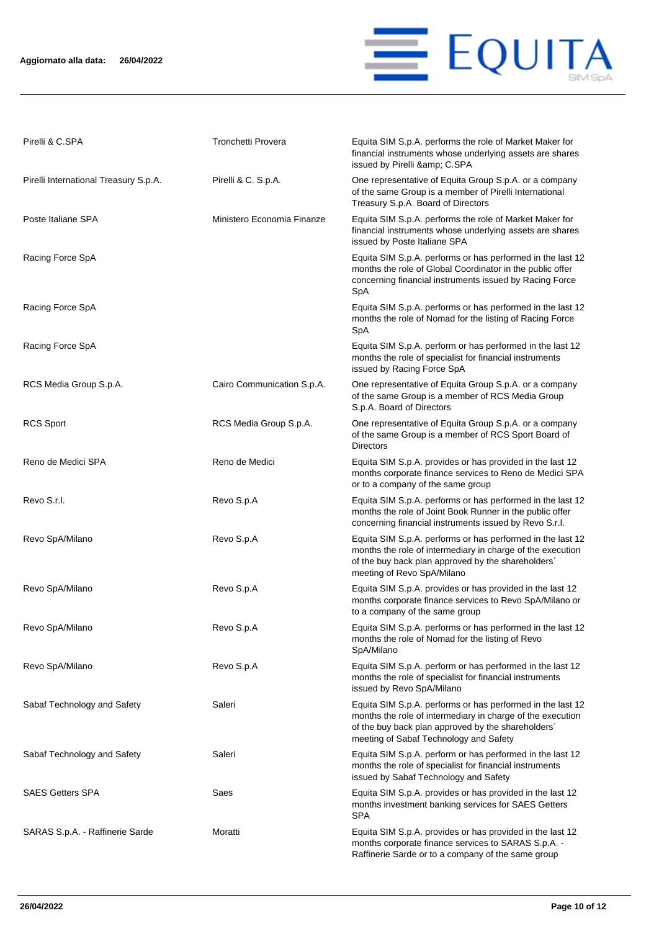### **Aggiornato alla data: 26/04/2022**



| Pirelli & C.SPA                       | Tronchetti Provera         | Equita SIM S.p.A. performs the role of Market Maker for<br>financial instruments whose underlying assets are shares<br>issued by Pirelli & C.SPA                                                                         |
|---------------------------------------|----------------------------|--------------------------------------------------------------------------------------------------------------------------------------------------------------------------------------------------------------------------|
| Pirelli International Treasury S.p.A. | Pirelli & C. S.p.A.        | One representative of Equita Group S.p.A. or a company<br>of the same Group is a member of Pirelli International<br>Treasury S.p.A. Board of Directors                                                                   |
| Poste Italiane SPA                    | Ministero Economia Finanze | Equita SIM S.p.A. performs the role of Market Maker for<br>financial instruments whose underlying assets are shares<br>issued by Poste Italiane SPA                                                                      |
| Racing Force SpA                      |                            | Equita SIM S.p.A. performs or has performed in the last 12<br>months the role of Global Coordinator in the public offer<br>concerning financial instruments issued by Racing Force<br>SpA                                |
| Racing Force SpA                      |                            | Equita SIM S.p.A. performs or has performed in the last 12<br>months the role of Nomad for the listing of Racing Force<br>SpA                                                                                            |
| Racing Force SpA                      |                            | Equita SIM S.p.A. perform or has performed in the last 12<br>months the role of specialist for financial instruments<br>issued by Racing Force SpA                                                                       |
| RCS Media Group S.p.A.                | Cairo Communication S.p.A. | One representative of Equita Group S.p.A. or a company<br>of the same Group is a member of RCS Media Group<br>S.p.A. Board of Directors                                                                                  |
| <b>RCS Sport</b>                      | RCS Media Group S.p.A.     | One representative of Equita Group S.p.A. or a company<br>of the same Group is a member of RCS Sport Board of<br><b>Directors</b>                                                                                        |
| Reno de Medici SPA                    | Reno de Medici             | Equita SIM S.p.A. provides or has provided in the last 12<br>months corporate finance services to Reno de Medici SPA<br>or to a company of the same group                                                                |
| Revo S.r.l.                           | Revo S.p.A                 | Equita SIM S.p.A. performs or has performed in the last 12<br>months the role of Joint Book Runner in the public offer<br>concerning financial instruments issued by Revo S.r.l.                                         |
| Revo SpA/Milano                       | Revo S.p.A                 | Equita SIM S.p.A. performs or has performed in the last 12<br>months the role of intermediary in charge of the execution<br>of the buy back plan approved by the shareholders'<br>meeting of Revo SpA/Milano             |
| Revo SpA/Milano                       | Revo S.p.A                 | Equita SIM S.p.A. provides or has provided in the last 12<br>months corporate finance services to Revo SpA/Milano or<br>to a company of the same group                                                                   |
| Revo SpA/Milano                       | Revo S.p.A                 | Equita SIM S.p.A. performs or has performed in the last 12<br>months the role of Nomad for the listing of Revo<br>SpA/Milano                                                                                             |
| Revo SpA/Milano                       | Revo S.p.A                 | Equita SIM S.p.A. perform or has performed in the last 12<br>months the role of specialist for financial instruments<br>issued by Revo SpA/Milano                                                                        |
| Sabaf Technology and Safety           | Saleri                     | Equita SIM S.p.A. performs or has performed in the last 12<br>months the role of intermediary in charge of the execution<br>of the buy back plan approved by the shareholders'<br>meeting of Sabaf Technology and Safety |
| Sabaf Technology and Safety           | Saleri                     | Equita SIM S.p.A. perform or has performed in the last 12<br>months the role of specialist for financial instruments<br>issued by Sabaf Technology and Safety                                                            |
| <b>SAES Getters SPA</b>               | Saes                       | Equita SIM S.p.A. provides or has provided in the last 12<br>months investment banking services for SAES Getters<br><b>SPA</b>                                                                                           |
| SARAS S.p.A. - Raffinerie Sarde       | Moratti                    | Equita SIM S.p.A. provides or has provided in the last 12<br>months corporate finance services to SARAS S.p.A. -<br>Raffinerie Sarde or to a company of the same group                                                   |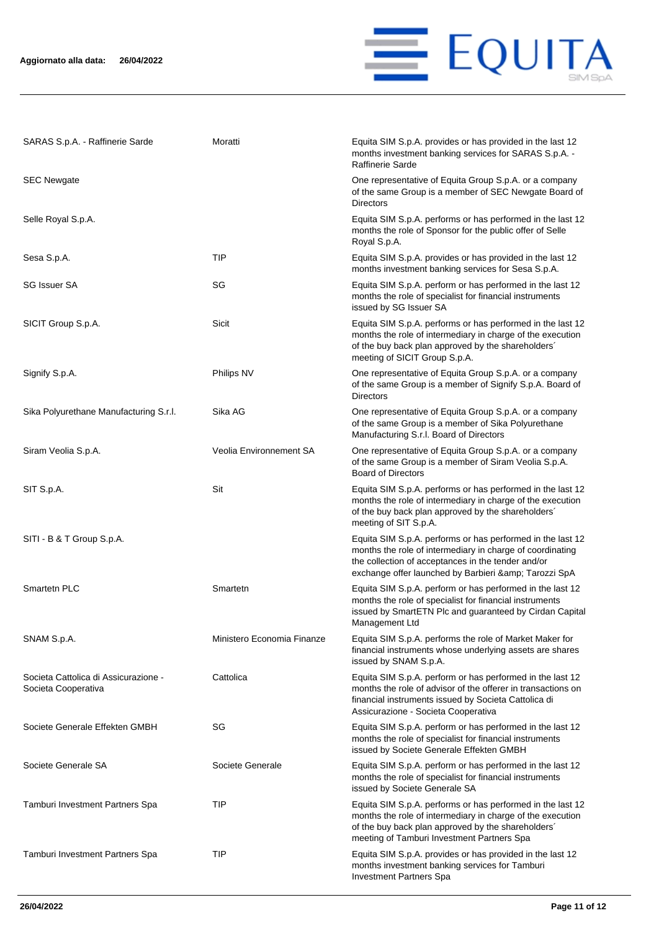

| SARAS S.p.A. - Raffinerie Sarde                             | Moratti                    | Equita SIM S.p.A. provides or has provided in the last 12<br>months investment banking services for SARAS S.p.A.<br>Raffinerie Sarde                                                                                                    |
|-------------------------------------------------------------|----------------------------|-----------------------------------------------------------------------------------------------------------------------------------------------------------------------------------------------------------------------------------------|
| <b>SEC Newgate</b>                                          |                            | One representative of Equita Group S.p.A. or a company<br>of the same Group is a member of SEC Newgate Board of<br><b>Directors</b>                                                                                                     |
| Selle Royal S.p.A.                                          |                            | Equita SIM S.p.A. performs or has performed in the last 12<br>months the role of Sponsor for the public offer of Selle<br>Royal S.p.A.                                                                                                  |
| Sesa S.p.A.                                                 | TIP                        | Equita SIM S.p.A. provides or has provided in the last 12<br>months investment banking services for Sesa S.p.A.                                                                                                                         |
| <b>SG Issuer SA</b>                                         | SG                         | Equita SIM S.p.A. perform or has performed in the last 12<br>months the role of specialist for financial instruments<br>issued by SG Issuer SA                                                                                          |
| SICIT Group S.p.A.                                          | Sicit                      | Equita SIM S.p.A. performs or has performed in the last 12<br>months the role of intermediary in charge of the execution<br>of the buy back plan approved by the shareholders'<br>meeting of SICIT Group S.p.A.                         |
| Signify S.p.A.                                              | Philips NV                 | One representative of Equita Group S.p.A. or a company<br>of the same Group is a member of Signify S.p.A. Board of<br><b>Directors</b>                                                                                                  |
| Sika Polyurethane Manufacturing S.r.l.                      | Sika AG                    | One representative of Equita Group S.p.A. or a company<br>of the same Group is a member of Sika Polyurethane<br>Manufacturing S.r.l. Board of Directors                                                                                 |
| Siram Veolia S.p.A.                                         | Veolia Environnement SA    | One representative of Equita Group S.p.A. or a company<br>of the same Group is a member of Siram Veolia S.p.A.<br><b>Board of Directors</b>                                                                                             |
| SIT S.p.A.                                                  | Sit                        | Equita SIM S.p.A. performs or has performed in the last 12<br>months the role of intermediary in charge of the execution<br>of the buy back plan approved by the shareholders'<br>meeting of SIT S.p.A.                                 |
| SITI - B & T Group S.p.A.                                   |                            | Equita SIM S.p.A. performs or has performed in the last 12<br>months the role of intermediary in charge of coordinating<br>the collection of acceptances in the tender and/or<br>exchange offer launched by Barbieri & amp; Tarozzi SpA |
| Smartetn PLC                                                | Smartetn                   | Equita SIM S.p.A. perform or has performed in the last 12<br>months the role of specialist for financial instruments<br>issued by SmartETN Plc and guaranteed by Cirdan Capital<br>Management Ltd                                       |
| SNAM S.p.A.                                                 | Ministero Economia Finanze | Equita SIM S.p.A. performs the role of Market Maker for<br>financial instruments whose underlying assets are shares<br>issued by SNAM S.p.A.                                                                                            |
| Societa Cattolica di Assicurazione -<br>Societa Cooperativa | Cattolica                  | Equita SIM S.p.A. perform or has performed in the last 12<br>months the role of advisor of the offerer in transactions on<br>financial instruments issued by Societa Cattolica di<br>Assicurazione - Societa Cooperativa                |
| Societe Generale Effekten GMBH                              | SG                         | Equita SIM S.p.A. perform or has performed in the last 12<br>months the role of specialist for financial instruments<br>issued by Societe Generale Effekten GMBH                                                                        |
| Societe Generale SA                                         | Societe Generale           | Equita SIM S.p.A. perform or has performed in the last 12<br>months the role of specialist for financial instruments<br>issued by Societe Generale SA                                                                                   |
| Tamburi Investment Partners Spa                             | <b>TIP</b>                 | Equita SIM S.p.A. performs or has performed in the last 12<br>months the role of intermediary in charge of the execution<br>of the buy back plan approved by the shareholders'<br>meeting of Tamburi Investment Partners Spa            |
| Tamburi Investment Partners Spa                             | <b>TIP</b>                 | Equita SIM S.p.A. provides or has provided in the last 12<br>months investment banking services for Tamburi<br>Investment Partners Spa                                                                                                  |